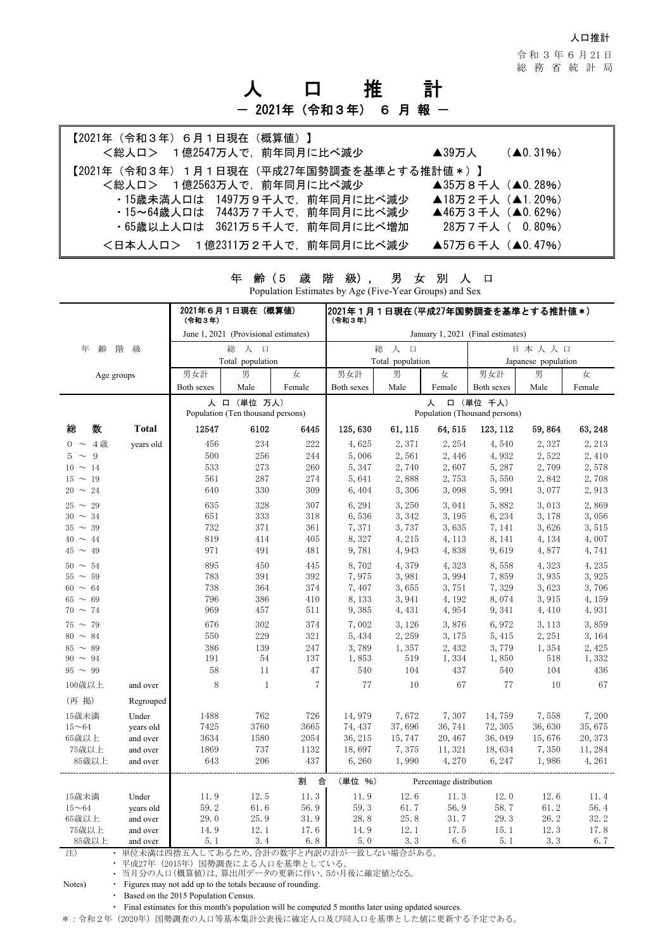人口推計

令 和 3 年 6 月 21 日 総務省統計局

# 人 口 推 計

## - 2021年 (令和3年) 6 月報 -

| 【2021年(令和3年)6月1日現在(概算値)】                 |                                      |
|------------------------------------------|--------------------------------------|
| <総人ロ> 1億2547万人で、前年同月に比べ減少                | $(40.31\%)$<br>$\blacktriangle$ 39万人 |
| 【2021年(令和3年)1月1日現在(平成27年国勢調査を基準とする推計値*)】 |                                      |
| <総人ロ> 1億2563万人で,前年同月に比べ減少                | ▲35万8千人(▲ $0.28\%$ )                 |
| ・15歳未満人口は 1497万9千人で、前年同月に比べ減少            | ▲18万2千人 (▲1.20%)                     |
| ・15~64歳人口は 7443万7千人で、前年同月に比べ減少           | ▲46万3千人 (▲0.62%)                     |
| ・65歳以上人口は 3621万5千人で、前年同月に比べ増加            | 28万7千人( 0.80%)                       |
| <日本人人ロ> 1億2311万2千人で、前年同月に比べ減少            | ▲57万6千人(▲0.47%)                      |

| Population Estimates by Age (Five- rear Groups) and Sex |              |                                        |                                                  |        |                                                 |             |         |                     |        |         |  |
|---------------------------------------------------------|--------------|----------------------------------------|--------------------------------------------------|--------|-------------------------------------------------|-------------|---------|---------------------|--------|---------|--|
|                                                         |              | (令和3年)                                 | 2021年6月1日現在(概算値)                                 |        | 2021年1月1日現在(平成27年国勢調査を基準とする推計値*)<br>(令和3年)      |             |         |                     |        |         |  |
|                                                         |              |                                        | June 1, 2021 (Provisional estimates)             |        | January 1, 2021 (Final estimates)               |             |         |                     |        |         |  |
| 年<br>齢                                                  | 階<br>級       |                                        | 総<br>人<br>口                                      |        |                                                 | 総<br>人<br>目 |         | 日本人人口               |        |         |  |
|                                                         |              |                                        | Total population                                 |        | Total population                                |             |         | Japanese population |        |         |  |
| Age groups                                              |              | 男女計                                    | 男                                                | 女      | 男女計                                             | 男           | 女       | 男女計                 | 男      | 女       |  |
|                                                         |              | Both sexes                             | Male                                             | Female | Both sexes                                      | Male        | Female  | Both sexes          | Male   | Female  |  |
|                                                         |              |                                        | 人 口 (単位 万人)<br>Population (Ten thousand persons) |        | 口 (単位 千人)<br>人<br>Population (Thousand persons) |             |         |                     |        |         |  |
| 数<br>総                                                  | <b>Total</b> | 12547                                  | 6102                                             | 6445   | 125,630                                         | 61, 115     | 64, 515 | 123, 112            | 59,864 | 63, 248 |  |
| $0 \sim 4$ 歳                                            | years old    | 456                                    | 234                                              | 222    | 4,625                                           | 2,371       | 2,254   | 4,540               | 2,327  | 2, 213  |  |
| $5 \sim 9$                                              |              | 500                                    | 256                                              | 244    | 5,006                                           | 2,561       | 2,446   | 4,932               | 2,522  | 2,410   |  |
| $10 \sim 14$                                            |              | 533                                    | 273                                              | 260    | 5, 347                                          | 2,740       | 2,607   | 5,287               | 2,709  | 2,578   |  |
| $15 \sim 19$                                            |              | 561                                    | 287                                              | 274    | 5,641                                           | 2,888       | 2,753   | 5,550               | 2,842  | 2,708   |  |
| $20 \sim 24$                                            |              | 640                                    | 330                                              | 309    | 6,404                                           | 3,306       | 3,098   | 5,991               | 3,077  | 2,913   |  |
| $25 \sim 29$                                            |              | 635                                    | 328                                              | 307    | 6,291                                           | 3,250       | 3,041   | 5,882               | 3,013  | 2,869   |  |
| $30 \sim 34$                                            |              | 651                                    | 333                                              | 318    | 6,536                                           | 3,342       | 3,195   | 6,234               | 3,178  | 3,056   |  |
| $35 \sim 39$                                            |              | 732                                    | 371                                              | 361    | 7,371                                           | 3,737       | 3,635   | 7, 141              | 3,626  | 3,515   |  |
| $40 \sim 44$                                            |              | 819                                    | 414                                              | 405    | 8,327                                           | 4, 215      | 4, 113  | 8, 141              | 4, 134 | 4,007   |  |
| $45 \sim 49$                                            |              | 971                                    | 491                                              | 481    | 9,781                                           | 4,943       | 4,838   | 9,619               | 4,877  | 4,741   |  |
| $50 \sim 54$                                            |              | 895                                    | 450                                              | 445    | 8,702                                           | 4,379       | 4,323   | 8,558               | 4,323  | 4,235   |  |
| $55 \sim 59$                                            |              | 783                                    | 391                                              | 392    | 7,975                                           | 3,981       | 3,994   | 7,859               | 3,935  | 3,925   |  |
| $60 \sim 64$                                            |              | 738                                    | 364                                              | 374    | 7,407                                           | 3,655       | 3,751   | 7,329               | 3,623  | 3,706   |  |
| $65 \sim 69$                                            |              | 796                                    | 386                                              | 410    | 8,133                                           | 3,941       | 4,192   | 8,074               | 3,915  | 4,159   |  |
| $70 \sim 74$                                            |              | 969                                    | 457                                              | 511    | 9,385                                           | 4, 431      | 4,954   | 9, 341              | 4,410  | 4,931   |  |
| $75 \sim 79$                                            |              | 676                                    | 302                                              | 374    | 7,002                                           | 3, 126      | 3,876   | 6,972               | 3, 113 | 3,859   |  |
| $80 \sim 84$                                            |              | 550                                    | 229                                              | 321    | 5, 434                                          | 2,259       | 3,175   | 5, 415              | 2, 251 | 3,164   |  |
| $85 \sim 89$                                            |              | 386                                    | 139                                              | 247    | 3,789                                           | 1,357       | 2,432   | 3,779               | 1,354  | 2,425   |  |
| $90 \sim 94$                                            |              | 191                                    | 54                                               | 137    | 1,853                                           | 519         | 1,334   | 1,850               | 518    | 1,332   |  |
| $95 \sim 99$                                            |              | 58                                     | 11                                               | 47     | 540                                             | 104         | 437     | 540                 | 104    | 436     |  |
| 100歳以上                                                  | and over     | 8                                      | $\mathbf{1}$                                     | 7      | 77                                              | 10          | 67      | 77                  | 10     | 67      |  |
| (再 掲)                                                   | Regrouped    |                                        |                                                  |        |                                                 |             |         |                     |        |         |  |
| 15歳未満                                                   | Under        | 1488                                   | 762                                              | 726    | 14,979                                          | 7,672       | 7,307   | 14,759              | 7,558  | 7,200   |  |
| $15 - 64$                                               | years old    | 7425                                   | 3760                                             | 3665   | 74, 437                                         | 37,696      | 36, 741 | 72, 305             | 36,630 | 35,675  |  |
| 65歳以上                                                   | and over     | 3634                                   | 1580                                             | 2054   | 36, 215                                         | 15,747      | 20, 467 | 36,049              | 15,676 | 20, 373 |  |
| 75歳以上                                                   | and over     | 1869                                   | 737                                              | 1132   | 18,697                                          | 7,375       | 11, 321 | 18,634              | 7,350  | 11,284  |  |
| 85歳以上                                                   | and over     | 643                                    | 206                                              | 437    | 6,260                                           | 1,990       | 4,270   | 6, 247              | 1,986  | 4,261   |  |
|                                                         |              |                                        |                                                  | 割<br>合 | (単位 %)<br>Percentage distribution               |             |         |                     |        |         |  |
| 15歳未満                                                   | Under        | 11.9                                   | 12.5                                             | 11.3   | 11.9                                            | 12.6        | 11.3    | 12.0                | 12.6   | 11.4    |  |
| $15 - 64$                                               | years old    | 59.2                                   | 61.6                                             | 56.9   | 59.3                                            | 61.7        | 56.9    | 58.7                | 61.2   | 56.4    |  |
| 65歳以上                                                   | and over     | 29.0                                   | 25.9                                             | 31.9   | 28.8                                            | 25.8        | 31.7    | 29.3                | 26.2   | 32.2    |  |
| 75歳以上                                                   | and over     | 14.9                                   | 12.1                                             | 17.6   | 14.9                                            | 12.1        | 17.5    | 15.1                | 12.3   | 17.8    |  |
| 85歳以上                                                   | and over     | 5.1                                    | 3.4                                              | 6.8    | 5.0                                             | 3.3         | 6.6     | 5.1                 | 3.3    | 6.7     |  |
| 注)                                                      |              | 単位未満は四捨五入してあるため,合計の数字と内訳の計が一致しない場合がある。 |                                                  |        |                                                 |             |         |                     |        |         |  |

年 齢(5 歳 階 級), 男 女 別 人 口 Population Estimates by Age (Five-Year Groups) and Sex

・ 当月分の人口(概算値)は,算出用データの更新に伴い,5か月後に確定値となる。 Notes) • Figures may not add up to the totals because of rounding.

・ 平成27年(2015年)国勢調査による人口を基準としている。

・ Based on the 2015 Population Census.

・ Final estimates for this month's population will be computed 5 months later using updated sources.

\*:令和2年(2020年)国勢調査の人口等基本集計公表後に確定人口及び同人口を基準とした値に更新する予定である。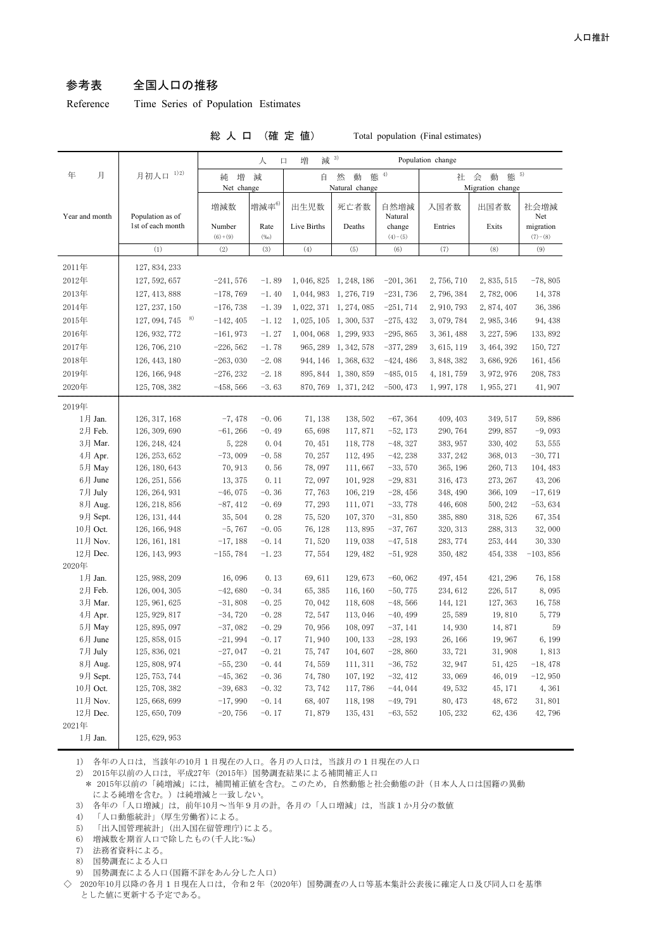#### 参考表 全国人口の推移

Reference Time Series of Population Estimates

| (確定<br>総人口 |  |
|------------|--|
|------------|--|

值) Total population (Final estimates)

|                                                             |                                | 减 3)<br>増<br>Population change<br>人<br>口 |                 |                   |                          |                        |                      |                                         |                        |  |
|-------------------------------------------------------------|--------------------------------|------------------------------------------|-----------------|-------------------|--------------------------|------------------------|----------------------|-----------------------------------------|------------------------|--|
| 年<br>月                                                      | 1) 2)<br>月初人口                  | 増<br>減<br>純<br>Net change                |                 | 自                 | 然<br>動<br>Natural change | 態 $4$                  |                      | 態 5)<br>会<br>動<br>社<br>Migration change |                        |  |
| Year and month                                              | Population as of               | 増減数                                      | 増減率 $6$         | 出生児数              | 死亡者数                     | 自然増減<br>Natural        | 入国者数                 | 出国者数                                    | 社会増減<br>Net            |  |
|                                                             | 1st of each month              | Number<br>$(6)+(9)$                      | Rate<br>$(\%o)$ | Live Births       | Deaths                   | change<br>$(4)-(5)$    | Entries              | Exits                                   | migration<br>$(7)-(8)$ |  |
|                                                             | (1)                            | (2)                                      | (3)             | (4)               | (5)                      | (6)                    | (7)                  | (8)                                     | (9)                    |  |
| 2011年                                                       | 127, 834, 233                  |                                          |                 |                   |                          |                        |                      |                                         |                        |  |
| 2012年                                                       | 127, 592, 657                  | $-241,576$                               | $-1.89$         |                   | 1, 046, 825 1, 248, 186  | $-201, 361$            | 2,756,710            | 2, 835, 515                             | $-78,805$              |  |
| 2013年                                                       | 127, 413, 888                  | $-178,769$                               | $-1.40$         |                   | 1, 044, 983 1, 276, 719  | $-231,736$             | 2,796,384            | 2,782,006                               | 14,378                 |  |
| 2014年                                                       | 127, 237, 150                  | $-176,738$                               | $-1.39$         |                   | 1, 022, 371 1, 274, 085  | $-251, 714$            | 2, 910, 793          | 2,874,407                               | 36, 386                |  |
| 2015年                                                       | 8)<br>127, 094, 745            | $-142, 405$                              | $-1.12$         |                   | 1, 025, 105 1, 300, 537  | $-275, 432$            | 3,079,784            | 2, 985, 346                             | 94, 438                |  |
| 2016年                                                       | 126, 932, 772                  | $-161,973$                               | $-1.27$         | 1,004,068         | 1, 299, 933              | $-295, 865$            | 3, 361, 488          | 3, 227, 596                             | 133, 892               |  |
| 2017年                                                       | 126, 706, 210                  | $-226, 562$                              | $-1.78$         | 965, 289          | 1, 342, 578              | $-377,289$             | 3, 615, 119          | 3, 464, 392                             | 150, 727               |  |
| 2018年                                                       | 126, 443, 180                  | $-263,030$                               | $-2.08$         |                   | 944, 146 1, 368, 632     | $-424, 486$            | 3, 848, 382          | 3, 686, 926                             | 161, 456               |  |
| 2019年                                                       | 126, 166, 948                  | $-276, 232$                              | $-2.18$         |                   | 895, 844 1, 380, 859     | $-485,015$             | 4, 181, 759          | 3, 972, 976                             | 208, 783               |  |
| 2020年                                                       | 125, 708, 382                  | $-458,566$                               | $-3.63$         |                   | 870, 769 1, 371, 242     | $-500, 473$            | 1, 997, 178          | 1, 955, 271                             | 41, 907                |  |
|                                                             |                                |                                          |                 |                   |                          |                        |                      |                                         |                        |  |
| 2019年                                                       |                                |                                          |                 |                   |                          |                        |                      |                                         |                        |  |
| 1月 Jan.                                                     | 126, 317, 168                  | $-7,478$                                 | $-0.06$         | 71, 138           | 138, 502                 | $-67, 364$             | 409, 403             | 349, 517                                | 59,886                 |  |
| 2月 Feb.                                                     | 126, 309, 690                  | $-61, 266$                               | $-0.49$         | 65,698            | 117,871                  | $-52, 173$             | 290, 764             | 299, 857                                | $-9,093$               |  |
| 3月 Mar.                                                     | 126, 248, 424                  | 5,228                                    | 0.04            | 70, 451           | 118,778                  | $-48,327$              | 383, 957<br>337, 242 | 330, 402                                | 53, 555                |  |
| 4月 Apr.<br>5月 May                                           | 126, 253, 652<br>126, 180, 643 | $-73,009$                                | $-0.58$<br>0.56 | 70, 257<br>78,097 | 112, 495                 | $-42,238$<br>$-33,570$ | 365, 196             | 368, 013                                | $-30,771$              |  |
| 6月 June                                                     | 126, 251, 556                  | 70, 913<br>13, 375                       | 0.11            | 72,097            | 111,667<br>101, 928      | $-29,831$              | 316, 473             | 260, 713<br>273, 267                    | 104, 483<br>43, 206    |  |
| 7月 July                                                     | 126, 264, 931                  | $-46,075$                                | $-0.36$         | 77,763            | 106, 219                 | $-28,456$              | 348, 490             | 366, 109                                | $-17,619$              |  |
| 8月 Aug.                                                     | 126, 218, 856                  | $-87, 412$                               | $-0.69$         | 77, 293           | 111,071                  | $-33,778$              | 446,608              | 500, 242                                | $-53,634$              |  |
| 9月 Sept.                                                    | 126, 131, 444                  | 35, 504                                  | 0.28            | 75, 520           | 107, 370                 | $-31,850$              | 385, 880             | 318, 526                                | 67, 354                |  |
| 10月 Oct.                                                    | 126, 166, 948                  | $-5,767$                                 | $-0.05$         | 76, 128           | 113,895                  | $-37,767$              | 320, 313             | 288, 313                                | 32,000                 |  |
| 11月 Nov.                                                    | 126, 161, 181                  | $-17,188$                                | $-0.14$         | 71,520            | 119,038                  | $-47,518$              | 283, 774             | 253, 444                                | 30, 330                |  |
| 12月 Dec.                                                    | 126, 143, 993                  | $-155,784$                               | $-1.23$         | 77,554            | 129, 482                 | $-51,928$              | 350, 482             | 454, 338                                | $-103,856$             |  |
| 2020年                                                       |                                |                                          |                 |                   |                          |                        |                      |                                         |                        |  |
| 1月 Jan.                                                     | 125, 988, 209                  | 16,096                                   | 0.13            | 69,611            | 129,673                  | $-60,062$              | 497, 454             | 421, 296                                | 76, 158                |  |
| 2月 Feb.                                                     | 126, 004, 305                  | $-42,680$                                | $-0.34$         | 65, 385           | 116, 160                 | $-50,775$              | 234, 612             | 226, 517                                | 8,095                  |  |
| 3月 Mar.                                                     | 125, 961, 625                  | $-31,808$                                | $-0.25$         | 70,042            | 118,608                  | $-48,566$              | 144, 121             | 127, 363                                | 16,758                 |  |
| 4月 Apr.                                                     | 125, 929, 817                  | $-34,720$                                | $-0.28$         | 72, 547           | 113,046                  | $-40, 499$             | 25,589               | 19,810                                  | 5,779                  |  |
| 5月 May                                                      | 125, 895, 097                  | $-37,082$                                | $-0.29$         | 70,956            | 108, 097                 | $-37,141$              | 14,930               | 14,871                                  | 59                     |  |
| 6月 June                                                     | 125, 858, 015                  | $-21,994$                                | $-0.17$         | 71,940            | 100, 133                 | $-28, 193$             | 26, 166              | 19,967                                  | 6, 199                 |  |
| 7月 July                                                     | 125, 836, 021                  | $-27,047$                                | $-0.21$         | 75, 747           | 104,607                  | $-28,860$              | 33, 721              | 31,908                                  | 1,813                  |  |
| 8月 Aug.                                                     | 125, 808, 974                  | $-55,230$                                | $-0.44$         | 74, 559           | 111, 311                 | $-36,752$              | 32, 947              | 51, 425                                 | $-18,478$              |  |
| 9月 Sept.                                                    | 125, 753, 744                  | $-45,362$                                | $-0.36$         | 74,780            | 107, 192                 | $-32,412$              | 33,069               | 46, 019                                 | $-12,950$              |  |
| 10月 Oct.                                                    | 125, 708, 382                  | $-39,683$                                | $-0.32$         | 73, 742           | 117,786                  | $-44,044$              | 49, 532              | 45, 171                                 | 4,361                  |  |
| 11月 Nov.                                                    | 125, 668, 699                  | $-17,990$                                | $-0.14$         | 68, 407           | 118, 198                 | $-49,791$              | 80, 473              | 48,672                                  | 31,801                 |  |
| 12月 Dec.                                                    | 125, 650, 709                  | $-20,756$                                | $-0.17$         | 71,879            | 135, 431                 | $-63,552$              | 105, 232             | 62, 436                                 | 42, 796                |  |
| 2021年<br>$1\,\mathrm{\not{\hspace{-1.2mm}\textit{H}}}$ Jan. |                                |                                          |                 |                   |                          |                        |                      |                                         |                        |  |
|                                                             | 125, 629, 953                  |                                          |                 |                   |                          |                        |                      |                                         |                        |  |

1) 各年の人口は,当該年の10月1日現在の人口。各月の人口は,当該月の1日現在の人口

2) 2015年以前の人口は,平成27年(2015年)国勢調査結果による補間補正人口

\* 2015年以前の「純増減」には,補間補正値を含む。このため,自然動態と社会動態の計(日本人人口は国籍の異動 による純増を含む。)は純増減と一致しない。

3) 各年の「人口増減」は,前年10月~当年9月の計。各月の「人口増減」は,当該1か月分の数値

4) 「人口動態統計」(厚生労働省)による。

5) 「出入国管理統計」(出入国在留管理庁)による。

6) 増減数を期首人口で除したもの(千人比:‰)

- 7) 法務省資料による。
- 8) 国勢調査による人口
- 9) 国勢調査による人口(国籍不詳をあん分した人口)

◇ 2020年10月以降の各月1日現在人口は、令和2年 (2020年)国勢調査の人口等基本集計公表後に確定人口及び同人口を基準 とした値に更新する予定である。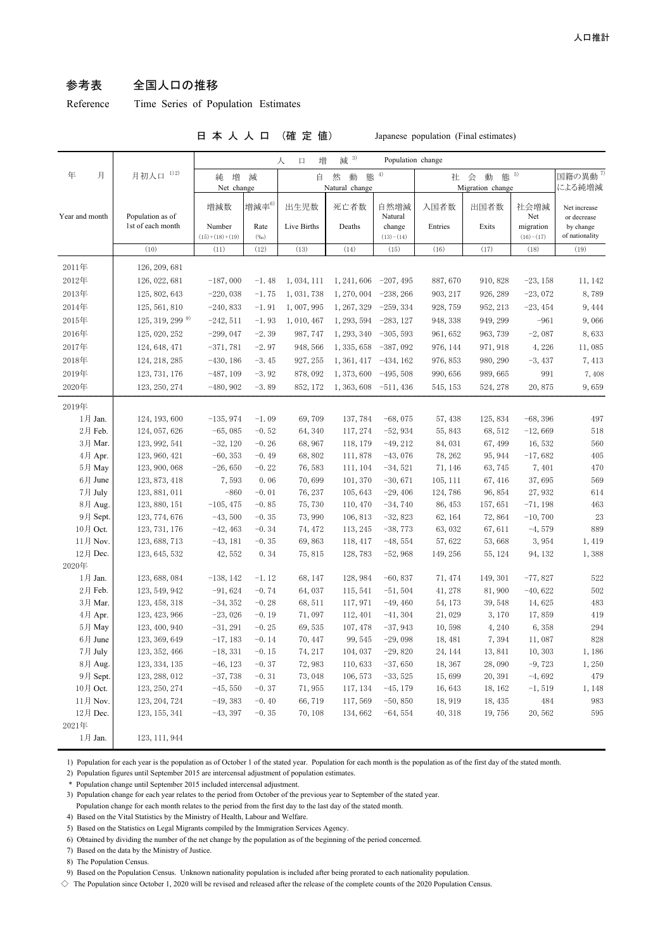#### 参考表 全国人口の推移

Reference Time Series of Population Estimates

日 本 人 人 口 (確 定 値) Japanese population (Final estimates)

|                |                     |                            |                 | 増<br>人<br>$\Box$ | 3)<br>減                                                     | Population change     |          |          |                          |                               |
|----------------|---------------------|----------------------------|-----------------|------------------|-------------------------------------------------------------|-----------------------|----------|----------|--------------------------|-------------------------------|
| 年<br>月         | 1) 2)<br>月初人口       | 増<br>純                     |                 |                  | 4)<br>減<br>自<br>然<br>動<br>態<br>Net change<br>Natural change |                       |          |          |                          | 国籍の異動 <sup>7)</sup><br>による純増減 |
| Year and month | Population as of    | 増減数                        | 増減率 $^{6)}$     | 出生児数             | 死亡者数                                                        | 自然増減<br>Natural       | 入国者数     | 出国者数     | 社会増減<br>Net              | Net increase<br>or decrease   |
|                | 1st of each month   | Number<br>$(15)+(18)+(19)$ | Rate<br>$(\%0)$ | Live Births      | Deaths                                                      | change<br>$(13)-(14)$ | Entries  | Exits    | migration<br>$(16)-(17)$ | by change<br>of nationality   |
|                | (10)                | (11)                       | (12)            | (13)             | (14)                                                        | (15)                  | (16)     | (17)     | (18)                     | (19)                          |
| 2011年          | 126, 209, 681       |                            |                 |                  |                                                             |                       |          |          |                          |                               |
| 2012年          | 126, 022, 681       | $-187,000$                 | $-1.48$         | 1,034,111        | 1, 241, 606                                                 | $-207, 495$           | 887,670  | 910, 828 | $-23, 158$               | 11, 142                       |
| 2013年          | 125, 802, 643       | $-220,038$                 | $-1.75$         | 1, 031, 738      | 1, 270, 004                                                 | $-238, 266$           | 903, 217 | 926, 289 | $-23,072$                | 8,789                         |
| 2014年          | 125, 561, 810       | $-240,833$                 | $-1.91$         | 1,007,995        | 1, 267, 329                                                 | $-259, 334$           | 928, 759 | 952, 213 | $-23, 454$               | 9,444                         |
| 2015年          | $125, 319, 299^{9}$ | $-242,511$                 | $-1.93$         | 1,010,467        | 1, 293, 594                                                 | $-283, 127$           | 948, 338 | 949, 299 | $-961$                   | 9,066                         |
| 2016年          | 125, 020, 252       | $-299,047$                 | $-2.39$         | 987, 747         | 1, 293, 340                                                 | $-305, 593$           | 961, 652 | 963, 739 | $-2,087$                 | 8,633                         |
| 2017年          | 124, 648, 471       | $-371,781$                 | $-2.97$         | 948, 566         | 1, 335, 658                                                 | $-387,092$            | 976, 144 | 971, 918 | 4,226                    | 11,085                        |
| 2018年          | 124, 218, 285       | $-430, 186$                | $-3.45$         | 927, 255         | 1, 361, 417                                                 | $-434, 162$           | 976, 853 | 980, 290 | $-3,437$                 | 7,413                         |
| 2019年          | 123, 731, 176       | $-487, 109$                | $-3.92$         | 878,092          | 1, 373, 600                                                 | $-495,508$            | 990, 656 | 989, 665 | 991                      | 7,408                         |
| 2020年          | 123, 250, 274       | $-480,902$                 | $-3.89$         | 852, 172         | 1, 363, 608                                                 | $-511,436$            | 545, 153 | 524, 278 | 20,875                   | 9,659                         |
| 2019年          |                     |                            |                 |                  |                                                             |                       |          |          |                          |                               |
| 1月 Jan.        | 124, 193, 600       | $-135,974$                 | $-1.09$         | 69,709           | 137, 784                                                    | $-68,075$             | 57, 438  | 125, 834 | $-68,396$                | 497                           |
| 2月 Feb.        | 124, 057, 626       | $-65,085$                  | $-0.52$         | 64, 340          | 117, 274                                                    | $-52,934$             | 55, 843  | 68,512   | $-12,669$                | 518                           |
| 3月 Mar.        | 123, 992, 541       | $-32, 120$                 | $-0.26$         | 68,967           | 118, 179                                                    | $-49, 212$            | 84,031   | 67,499   | 16,532                   | 560                           |
| 4月 Apr.        | 123, 960, 421       | $-60, 353$                 | $-0.49$         | 68,802           | 111,878                                                     | $-43,076$             | 78, 262  | 95, 944  | $-17,682$                | 405                           |
| 5月 May         | 123, 900, 068       | $-26,650$                  | $-0.22$         | 76,583           | 111, 104                                                    | $-34,521$             | 71, 146  | 63,745   | 7,401                    | 470                           |
| 6月 June        | 123, 873, 418       | 7,593                      | 0.06            | 70,699           | 101, 370                                                    | $-30,671$             | 105, 111 | 67, 416  | 37,695                   | 569                           |
| 7月 July        | 123, 881, 011       | $-860$                     | $-0.01$         | 76, 237          | 105,643                                                     | $-29,406$             | 124,786  | 96,854   | 27,932                   | 614                           |
| 8月 Aug.        | 123, 880, 151       | $-105, 475$                | $-0.85$         | 75,730           | 110, 470                                                    | $-34,740$             | 86, 453  | 157,651  | $-71,198$                | 463                           |
| 9月 Sept.       | 123, 774, 676       | $-43,500$                  | $-0.35$         | 73,990           | 106, 813                                                    | $-32,823$             | 62, 164  | 72,864   | $-10,700$                | 23                            |
| 10月 Oct.       | 123, 731, 176       | $-42, 463$                 | $-0.34$         | 74, 472          | 113, 245                                                    | $-38,773$             | 63,032   | 67,611   | $-4,579$                 | 889                           |
| 11月 Nov.       | 123, 688, 713       | $-43, 181$                 | $-0.35$         | 69,863           | 118, 417                                                    | $-48,554$             | 57,622   | 53,668   | 3,954                    | 1,419                         |
| 12月 Dec.       | 123, 645, 532       | 42,552                     | 0.34            | 75,815           | 128,783                                                     | $-52,968$             | 149, 256 | 55, 124  | 94, 132                  | 1,388                         |
| 2020年          |                     |                            |                 |                  |                                                             |                       |          |          |                          |                               |
| 1月 Jan.        | 123, 688, 084       | $-138, 142$                | $-1.12$         | 68, 147          | 128, 984                                                    | $-60,837$             | 71, 474  | 149, 301 | $-77,827$                | 522                           |
| 2月 Feb.        | 123, 549, 942       | $-91,624$                  | $-0.74$         | 64,037           | 115, 541                                                    | $-51,504$             | 41, 278  | 81,900   | $-40,622$                | 502                           |
| 3月 Mar.        | 123, 458, 318       | $-34, 352$                 | $-0.28$         | 68,511           | 117, 971                                                    | $-49, 460$            | 54, 173  | 39,548   | 14,625                   | 483                           |
| 4月 Apr.        | 123, 423, 966       | $-23,026$                  | $-0.19$         | 71,097           | 112, 401                                                    | $-41, 304$            | 21,029   | 3,170    | 17,859                   | 419                           |
| 5月 May         | 123, 400, 940       | $-31, 291$                 | $-0.25$         | 69,535           | 107, 478                                                    | $-37,943$             | 10,598   | 4,240    | 6,358                    | 294                           |
| 6月 June        | 123, 369, 649       | $-17,183$                  | $-0.14$         | 70, 447          | 99, 545                                                     | $-29,098$             | 18, 481  | 7,394    | 11,087                   | 828                           |
| 7月 July        | 123, 352, 466       | $-18, 331$                 | $-0.15$         | 74, 217          | 104, 037                                                    | $-29,820$             | 24, 144  | 13,841   | 10,303                   | 1,186                         |
| 8月 Aug.        | 123, 334, 135       | $-46, 123$                 | $-0.37$         | 72,983           | 110,633                                                     | $-37,650$             | 18, 367  | 28,090   | $-9,723$                 | 1,250                         |
| 9月 Sept.       | 123, 288, 012       | $-37,738$                  | $-0.31$         | 73,048           | 106, 573                                                    | $-33,525$             | 15,699   | 20,391   | $-4,692$                 | 479                           |
| 10月 Oct.       | 123, 250, 274       | $-45,550$                  | $-0.37$         | 71,955           | 117, 134                                                    | $-45, 179$            | 16,643   | 18, 162  | $-1, 519$                | 1,148                         |
| 11月 Nov.       | 123, 204, 724       | $-49,383$                  | $-0.40$         | 66,719           | 117,569                                                     | $-50, 850$            | 18,919   | 18, 435  | 484                      | 983                           |
| 12月 Dec.       | 123, 155, 341       | $-43, 397$                 | $-0.35$         | 70,108           | 134,662                                                     | $-64,554$             | 40, 318  | 19,756   | 20,562                   | 595                           |
| 2021年          |                     |                            |                 |                  |                                                             |                       |          |          |                          |                               |
| 1月 Jan.        | 123, 111, 944       |                            |                 |                  |                                                             |                       |          |          |                          |                               |

1) Population for each year is the population as of October 1 of the stated year. Population for each month is the population as of the first day of the stated month.

2) Population figures until September 2015 are intercensal adjustment of population estimates.

\* Population change until September 2015 included intercensal adjustment.

3) Population change for each year relates to the period from October of the previous year to September of the stated year.

Population change for each month relates to the period from the first day to the last day of the stated month.

4) Based on the Vital Statistics by the Ministry of Health, Labour and Welfare.

5) Based on the Statistics on Legal Migrants compiled by the Immigration Services Agency.

6) Obtained by dividing the number of the net change by the population as of the beginning of the period concerned.

7) Based on the data by the Ministry of Justice.

8) The Population Census.

9) Based on the Population Census. Unknown nationality population is included after being prorated to each nationality population.

 $\diamond$  The Population since October 1, 2020 will be revised and released after the release of the complete counts of the 2020 Population Census.